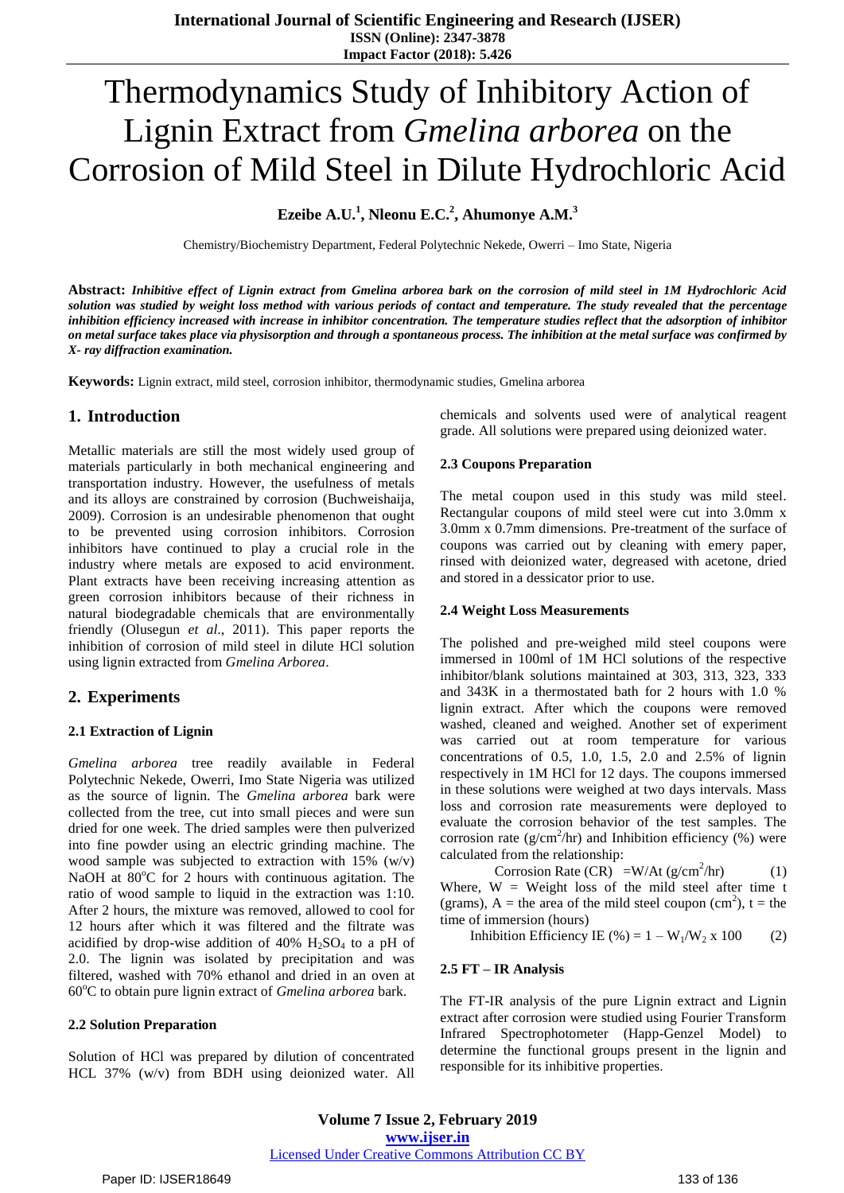# Thermodynamics Study of Inhibitory Action of Lignin Extract from *Gmelina arborea* on the Corrosion of Mild Steel in Dilute Hydrochloric Acid

**Ezeibe A.U.<sup>1</sup> , Nleonu E.C.<sup>2</sup> , Ahumonye A.M.<sup>3</sup>**

Chemistry/Biochemistry Department, Federal Polytechnic Nekede, Owerri – Imo State, Nigeria

**Abstract:** *Inhibitive effect of Lignin extract from Gmelina arborea bark on the corrosion of mild steel in 1M Hydrochloric Acid solution was studied by weight loss method with various periods of contact and temperature. The study revealed that the percentage inhibition efficiency increased with increase in inhibitor concentration. The temperature studies reflect that the adsorption of inhibitor on metal surface takes place via physisorption and through a spontaneous process. The inhibition at the metal surface was confirmed by X- ray diffraction examination.*

**Keywords:** Lignin extract, mild steel, corrosion inhibitor, thermodynamic studies, Gmelina arborea

## **1. Introduction**

Metallic materials are still the most widely used group of materials particularly in both mechanical engineering and transportation industry. However, the usefulness of metals and its alloys are constrained by corrosion (Buchweishaija, 2009). Corrosion is an undesirable phenomenon that ought to be prevented using corrosion inhibitors. Corrosion inhibitors have continued to play a crucial role in the industry where metals are exposed to acid environment. Plant extracts have been receiving increasing attention as green corrosion inhibitors because of their richness in natural biodegradable chemicals that are environmentally friendly (Olusegun *et al*., 2011). This paper reports the inhibition of corrosion of mild steel in dilute HCl solution using lignin extracted from *Gmelina Arborea*.

# **2. Experiments**

### **2.1 Extraction of Lignin**

*Gmelina arborea* tree readily available in Federal Polytechnic Nekede, Owerri, Imo State Nigeria was utilized as the source of lignin. The *Gmelina arborea* bark were collected from the tree, cut into small pieces and were sun dried for one week. The dried samples were then pulverized into fine powder using an electric grinding machine. The wood sample was subjected to extraction with 15% (w/v) NaOH at  $80^{\circ}$ C for 2 hours with continuous agitation. The ratio of wood sample to liquid in the extraction was 1:10. After 2 hours, the mixture was removed, allowed to cool for 12 hours after which it was filtered and the filtrate was acidified by drop-wise addition of 40%  $H_2SO_4$  to a pH of 2.0. The lignin was isolated by precipitation and was filtered, washed with 70% ethanol and dried in an oven at 60°C to obtain pure lignin extract of *Gmelina arborea* bark.

### **2.2 Solution Preparation**

Solution of HCl was prepared by dilution of concentrated HCL 37% (w/v) from BDH using deionized water. All chemicals and solvents used were of analytical reagent grade. All solutions were prepared using deionized water.

### **2.3 Coupons Preparation**

The metal coupon used in this study was mild steel. Rectangular coupons of mild steel were cut into 3.0mm x 3.0mm x 0.7mm dimensions. Pre-treatment of the surface of coupons was carried out by cleaning with emery paper, rinsed with deionized water, degreased with acetone, dried and stored in a dessicator prior to use.

#### **2.4 Weight Loss Measurements**

The polished and pre-weighed mild steel coupons were immersed in 100ml of 1M HCl solutions of the respective inhibitor/blank solutions maintained at 303, 313, 323, 333 and 343K in a thermostated bath for 2 hours with 1.0 % lignin extract. After which the coupons were removed washed, cleaned and weighed. Another set of experiment was carried out at room temperature for various concentrations of 0.5, 1.0, 1.5, 2.0 and 2.5% of lignin respectively in 1M HCl for 12 days. The coupons immersed in these solutions were weighed at two days intervals. Mass loss and corrosion rate measurements were deployed to evaluate the corrosion behavior of the test samples. The corrosion rate ( $g/cm<sup>2</sup>/hr$ ) and Inhibition efficiency (%) were calculated from the relationship:

Corrosion Rate  $(CR)^{-1} = W/At (g/cm^{2}/hr)$  (1)

Where,  $W = Weight loss of the mild steel after time t$ (grams),  $A =$  the area of the mild steel coupon (cm<sup>2</sup>), t = the time of immersion (hours)

Inhibition Efficiency IE (%) =  $1 - W_1/W_2$  x 100 (2)

#### **2.5 FT – IR Analysis**

The FT-IR analysis of the pure Lignin extract and Lignin extract after corrosion were studied using Fourier Transform Infrared Spectrophotometer (Happ-Genzel Model) to determine the functional groups present in the lignin and responsible for its inhibitive properties.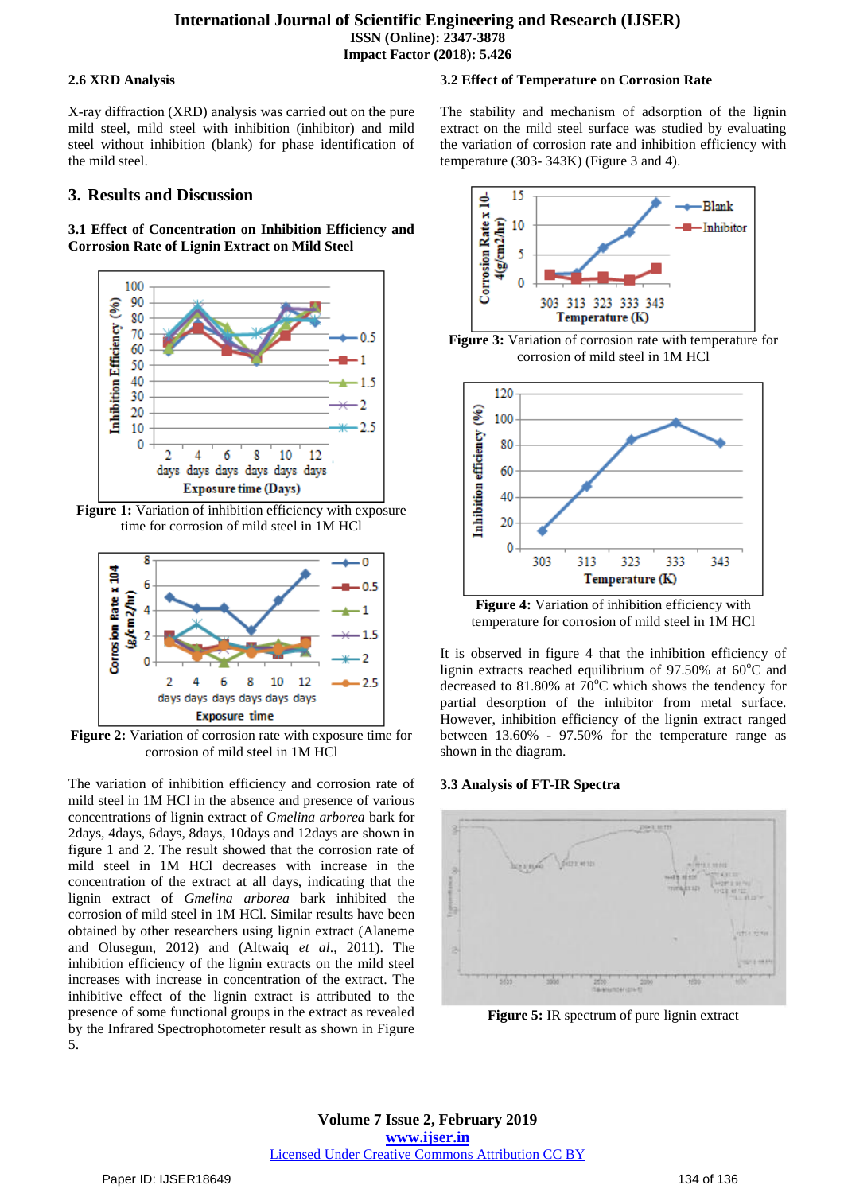## **2.6 XRD Analysis**

X-ray diffraction (XRD) analysis was carried out on the pure mild steel, mild steel with inhibition (inhibitor) and mild steel without inhibition (blank) for phase identification of the mild steel.

# **3. Results and Discussion**

**3.1 Effect of Concentration on Inhibition Efficiency and Corrosion Rate of Lignin Extract on Mild Steel**



**Figure 1:** Variation of inhibition efficiency with exposure time for corrosion of mild steel in 1M HCl



**Figure 2:** Variation of corrosion rate with exposure time for corrosion of mild steel in 1M HCl

The variation of inhibition efficiency and corrosion rate of mild steel in 1M HCl in the absence and presence of various concentrations of lignin extract of *Gmelina arborea* bark for 2days, 4days, 6days, 8days, 10days and 12days are shown in figure 1 and 2. The result showed that the corrosion rate of mild steel in 1M HCl decreases with increase in the concentration of the extract at all days, indicating that the lignin extract of *Gmelina arborea* bark inhibited the corrosion of mild steel in 1M HCl. Similar results have been obtained by other researchers using lignin extract (Alaneme and Olusegun, 2012) and (Altwaiq *et al*., 2011). The inhibition efficiency of the lignin extracts on the mild steel increases with increase in concentration of the extract. The inhibitive effect of the lignin extract is attributed to the presence of some functional groups in the extract as revealed by the Infrared Spectrophotometer result as shown in Figure 5.

# **3.2 Effect of Temperature on Corrosion Rate**

The stability and mechanism of adsorption of the lignin extract on the mild steel surface was studied by evaluating the variation of corrosion rate and inhibition efficiency with temperature (303- 343K) (Figure 3 and 4).







**Figure 4:** Variation of inhibition efficiency with temperature for corrosion of mild steel in 1M HCl

It is observed in figure 4 that the inhibition efficiency of lignin extracts reached equilibrium of  $97.50\%$  at  $60^{\circ}$ C and decreased to 81.80% at  $70^{\circ}$ C which shows the tendency for partial desorption of the inhibitor from metal surface. However, inhibition efficiency of the lignin extract ranged between 13.60% - 97.50% for the temperature range as shown in the diagram.

# **3.3 Analysis of FT-IR Spectra**



**Figure 5:** IR spectrum of pure lignin extract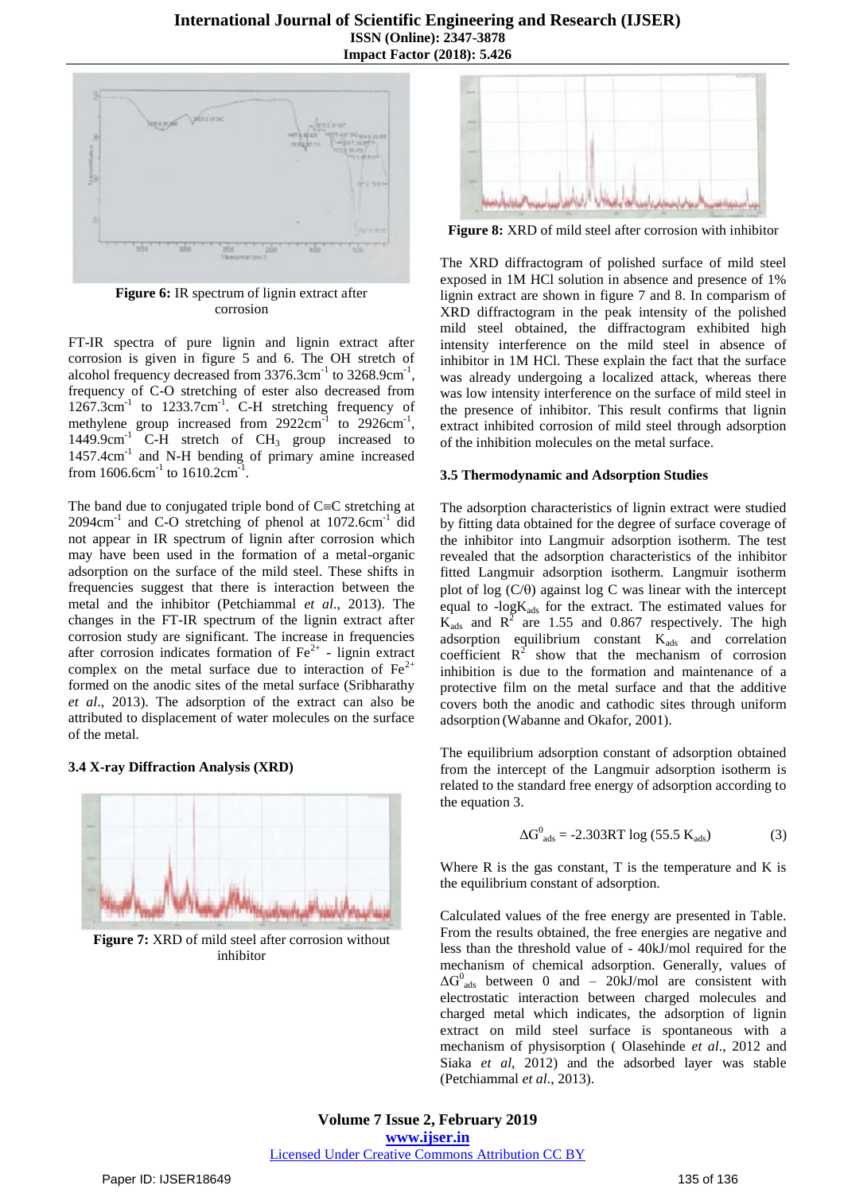

**Figure 6:** IR spectrum of lignin extract after corrosion

FT-IR spectra of pure lignin and lignin extract after corrosion is given in figure 5 and 6. The OH stretch of alcohol frequency decreased from  $3376.3 \text{cm}^{-1}$  to  $3268.9 \text{cm}^{-1}$ , frequency of C-O stretching of ester also decreased from 1267.3cm<sup>-1</sup> to 1233.7cm<sup>-1</sup>. C-H stretching frequency of methylene group increased from  $2922 \text{cm}^{-1}$  to  $2926 \text{cm}^{-1}$ , 1449.9cm<sup>-1</sup> C-H stretch of  $CH_3$  group increased to 1457.4cm<sup>-1</sup> and N-H bending of primary amine increased from  $1606.6$ cm<sup>-1</sup> to  $1610.2$ cm<sup>-1</sup>.

The band due to conjugated triple bond of  $C=C$  stretching at 2094cm<sup>-1</sup> and C-O stretching of phenol at 1072.6cm<sup>-1</sup> did not appear in IR spectrum of lignin after corrosion which may have been used in the formation of a metal-organic adsorption on the surface of the mild steel. These shifts in frequencies suggest that there is interaction between the metal and the inhibitor (Petchiammal *et al*., 2013). The changes in the FT-IR spectrum of the lignin extract after corrosion study are significant. The increase in frequencies after corrosion indicates formation of  $\text{Fe}^{2+}$  - lignin extract complex on the metal surface due to interaction of  $Fe<sup>2+</sup>$ formed on the anodic sites of the metal surface (Sribharathy *et al*., 2013). The adsorption of the extract can also be attributed to displacement of water molecules on the surface of the metal.

### **3.4 X-ray Diffraction Analysis (XRD)**



**Figure 7:** XRD of mild steel after corrosion without inhibitor



**Figure 8:** XRD of mild steel after corrosion with inhibitor

The XRD diffractogram of polished surface of mild steel exposed in 1M HCl solution in absence and presence of 1% lignin extract are shown in figure 7 and 8. In comparism of XRD diffractogram in the peak intensity of the polished mild steel obtained, the diffractogram exhibited high intensity interference on the mild steel in absence of inhibitor in 1M HCl. These explain the fact that the surface was already undergoing a localized attack, whereas there was low intensity interference on the surface of mild steel in the presence of inhibitor. This result confirms that lignin extract inhibited corrosion of mild steel through adsorption of the inhibition molecules on the metal surface.

#### **3.5 Thermodynamic and Adsorption Studies**

The adsorption characteristics of lignin extract were studied by fitting data obtained for the degree of surface coverage of the inhibitor into Langmuir adsorption isotherm. The test revealed that the adsorption characteristics of the inhibitor fitted Langmuir adsorption isotherm. Langmuir isotherm plot of log  $(C/\theta)$  against log C was linear with the intercept equal to -logK<sub>ads</sub> for the extract. The estimated values for  $K_{ads}$  and  $R^2$  are 1.55 and 0.867 respectively. The high adsorption equilibrium constant  $K_{ads}$  and correlation coefficient  $R^2$  show that the mechanism of corrosion inhibition is due to the formation and maintenance of a protective film on the metal surface and that the additive covers both the anodic and cathodic sites through uniform adsorption (Wabanne and Okafor, 2001).

The equilibrium adsorption constant of adsorption obtained from the intercept of the Langmuir adsorption isotherm is related to the standard free energy of adsorption according to the equation 3.

$$
\Delta G_{ads}^0 = -2.303RT \log (55.5 K_{ads})
$$
 (3)

Where  $R$  is the gas constant,  $T$  is the temperature and  $K$  is the equilibrium constant of adsorption.

Calculated values of the free energy are presented in Table. From the results obtained, the free energies are negative and less than the threshold value of - 40kJ/mol required for the mechanism of chemical adsorption. Generally, values of  $\Delta G^0_{ads}$  between 0 and – 20kJ/mol are consistent with electrostatic interaction between charged molecules and charged metal which indicates, the adsorption of lignin extract on mild steel surface is spontaneous with a mechanism of physisorption ( Olasehinde *et al*., 2012 and Siaka *et al*, 2012) and the adsorbed layer was stable (Petchiammal *et al*., 2013).